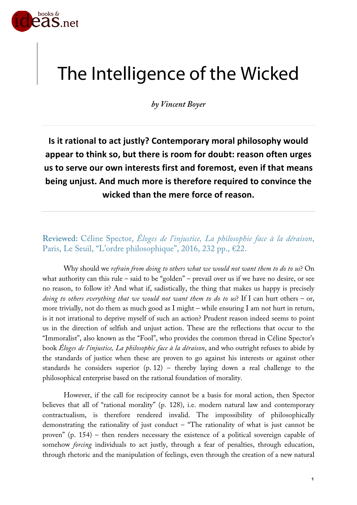

## The Intelligence of the Wicked

*by Vincent Boyer*

**Is it rational to act justly? Contemporary moral philosophy would appear to think so, but there is room for doubt: reason often urges us to serve our own interests first and foremost, even if that means being unjust. And much more is therefore required to convince the wicked than the mere force of reason.**

**Reviewed:** Céline Spector, *Éloges de l'injustice, La philosophie face à la déraison*, Paris, Le Seuil, "L'ordre philosophique", 2016, 232 pp., €22.

Why should we *refrain from doing to others what we would not want them to do to us*? On what authority can this rule – said to be "golden" – prevail over us if we have no desire, or see no reason, to follow it? And what if, sadistically, the thing that makes us happy is precisely *doing to others everything that we would not want them to do to us*? If I can hurt others – or, more trivially, not do them as much good as I might – while ensuring I am not hurt in return, is it not irrational to deprive myself of such an action? Prudent reason indeed seems to point us in the direction of selfish and unjust action. These are the reflections that occur to the "Immoralist", also known as the "Fool", who provides the common thread in Céline Spector's book *Éloges de l'injustice, La philosophie face à la déraison*, and who outright refuses to abide by the standards of justice when these are proven to go against his interests or against other standards he considers superior (p. 12) – thereby laying down a real challenge to the philosophical enterprise based on the rational foundation of morality.

However, if the call for reciprocity cannot be a basis for moral action, then Spector believes that all of "rational morality" (p. 128), i.e. modern natural law and contemporary contractualism, is therefore rendered invalid. The impossibility of philosophically demonstrating the rationality of just conduct  $-$  "The rationality of what is just cannot be proven" (p. 154) – then renders necessary the existence of a political sovereign capable of somehow *forcing* individuals to act justly, through a fear of penalties, through education, through rhetoric and the manipulation of feelings, even through the creation of a new natural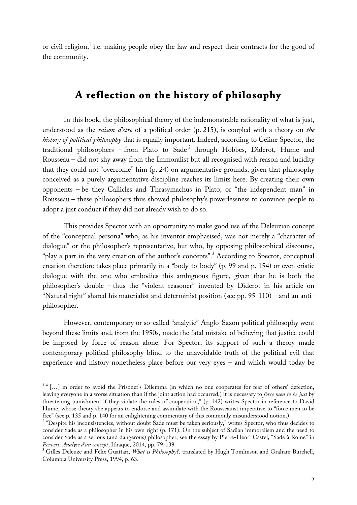or civil religion,<sup>1</sup> i.e. making people obey the law and respect their contracts for the good of the community.

## **A reflection on the history of philosophy**

In this book, the philosophical theory of the indemonstrable rationality of what is just, understood as the *raison d'être* of a political order (p. 215), is coupled with a theory on *the history of political philosophy* that is equally important. Indeed, according to Céline Spector, the traditional philosophers – from Plato to Sade<sup>2</sup> through Hobbes, Diderot, Hume and Rousseau – did not shy away from the Immoralist but all recognised with reason and lucidity that they could not "overcome" him (p. 24) on argumentative grounds, given that philosophy conceived as a purely argumentative discipline reaches its limits here. By creating their own opponents – be they Callicles and Thrasymachus in Plato, or "the independent man" in Rousseau – these philosophers thus showed philosophy's powerlessness to convince people to adopt a just conduct if they did not already wish to do so.

This provides Spector with an opportunity to make good use of the Deleuzian concept of the "conceptual persona" who, as his inventor emphasised, was not merely a "character of dialogue" or the philosopher's representative, but who, by opposing philosophical discourse, "play a part in the very creation of the author's concepts".<sup>3</sup> According to Spector, conceptual creation therefore takes place primarily in a "body-to-body" (p. 99 and p. 154) or even eristic dialogue with the one who embodies this ambiguous figure, given that he is both the philosopher's double – thus the "violent reasoner" invented by Diderot in his article on "Natural right" shared his materialist and determinist position (see pp. 95-110) – and an antiphilosopher.

However, contemporary or so-called "analytic" Anglo-Saxon political philosophy went beyond these limits and, from the 1950s, made the fatal mistake of believing that justice could be imposed by force of reason alone. For Spector, its support of such a theory made contemporary political philosophy blind to the unavoidable truth of the political evil that experience and history nonetheless place before our very eyes – and which would today be

<sup>&</sup>lt;sup>1</sup> " [...] in order to avoid the Prisoner's Dilemma (in which no one cooperates for fear of others' defection, leaving everyone in a worse situation than if the joint action had occurred,) it is necessary to *force men to be just* by threatening punishment if they violate the rules of cooperation," (p. 142) writes Spector in reference to David Hume, whose theory she appears to endorse and assimilate with the Rousseauist imperative to "force men to be free" (see p. 135 and p. 140 for an enlightening commentary of this commonly misunderstood notion.)<br><sup>2</sup> "Despite his inconsistencies, without doubt Sade must be taken seriously," writes Spector, who thus decides to

consider Sade as a philosopher in his own right (p. 171). On the subject of Sadian immoralism and the need to consider Sade as a serious (and dangerous) philosopher, see the essay by Pierre-Henri Castel, "Sade à Rome" in *Pervers, Analyse d'un concept*, Ithaque, 2014, pp. 79-139.<br><sup>3</sup> Gilles Deleuze and Félix Guattari, *What is Philosophy?*, translated by Hugh Tomlinson and Graham Burchell,

Columbia University Press, 1994, p. 63.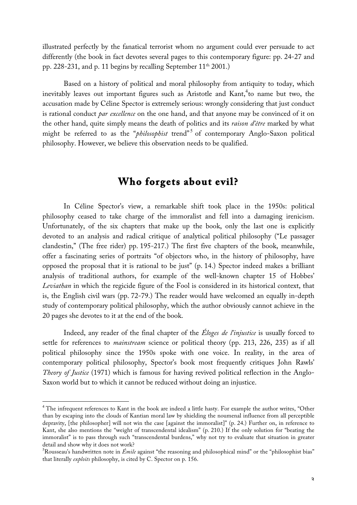illustrated perfectly by the fanatical terrorist whom no argument could ever persuade to act differently (the book in fact devotes several pages to this contemporary figure: pp. 24-27 and pp. 228-231, and p. 11 begins by recalling September 11<sup>th</sup> 2001.)

Based on a history of political and moral philosophy from antiquity to today, which inevitably leaves out important figures such as Aristotle and Kant, 4 to name but two, the accusation made by Céline Spector is extremely serious: wrongly considering that just conduct is rational conduct *par excellence* on the one hand, and that anyone may be convinced of it on the other hand, quite simply means the death of politics and its *raison d'être* marked by what might be referred to as the "*philosophist* trend" <sup>5</sup> of contemporary Anglo-Saxon political philosophy. However, we believe this observation needs to be qualified.

## **Who forgets about evil?**

In Céline Spector's view, a remarkable shift took place in the 1950s: political philosophy ceased to take charge of the immoralist and fell into a damaging irenicism. Unfortunately, of the six chapters that make up the book, only the last one is explicitly devoted to an analysis and radical critique of analytical political philosophy ("Le passager clandestin," (The free rider) pp. 195-217.) The first five chapters of the book, meanwhile, offer a fascinating series of portraits "of objectors who, in the history of philosophy, have opposed the proposal that it is rational to be just" (p. 14.) Spector indeed makes a brilliant analysis of traditional authors, for example of the well-known chapter 15 of Hobbes' *Leviathan* in which the regicide figure of the Fool is considered in its historical context, that is, the English civil wars (pp. 72-79.) The reader would have welcomed an equally in-depth study of contemporary political philosophy, which the author obviously cannot achieve in the 20 pages she devotes to it at the end of the book.

Indeed, any reader of the final chapter of the *Éloges de l'injustice* is usually forced to settle for references to *mainstream* science or political theory (pp. 213, 226, 235) as if all political philosophy since the 1950s spoke with one voice. In reality, in the area of contemporary political philosophy, Spector's book most frequently critiques John Rawls' *Theory of Justice* (1971) which is famous for having revived political reflection in the Anglo-Saxon world but to which it cannot be reduced without doing an injustice.

<sup>&</sup>lt;sup>4</sup> The infrequent references to Kant in the book are indeed a little hasty. For example the author writes, "Other than by escaping into the clouds of Kantian moral law by shielding the noumenal influence from all perceptible depravity, [the philosopher] will not win the case [against the immoralist]" (p. 24.) Further on, in reference to Kant, she also mentions the "weight of transcendental idealism" (p. 210.) If the only solution for "beating the immoralist" is to pass through such "transcendental burdens," why not try to evaluate that situation in greater detail and show why it does not work?

Rousseau's handwritten note in *Émile* against "the reasoning and philosophical mind" or the "philosophist bias" that literally *exploits* philosophy, is cited by C. Spector on p. 156.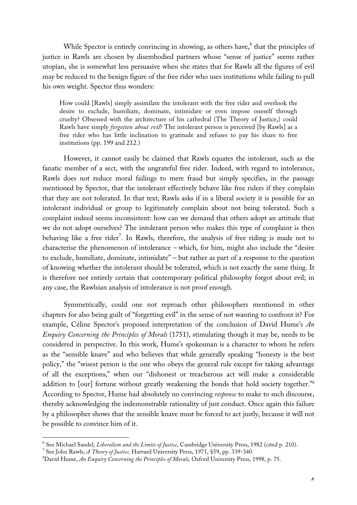While Spector is entirely convincing in showing, as others have, <sup>6</sup> that the principles of justice in Rawls are chosen by disembodied partners whose "sense of justice" seems rather utopian, she is somewhat less persuasive when she states that for Rawls all the figures of evil may be reduced to the benign figure of the free rider who uses institutions while failing to pull his own weight. Spector thus wonders:

How could [Rawls] simply assimilate the intolerant with the free rider and overlook the desire to exclude, humiliate, dominate, intimidate or even impose oneself through cruelty? Obsessed with the architecture of his cathedral (The Theory of Justice,) could Rawls have simply *forgotten about evil*? The intolerant person is perceived [by Rawls] as a free rider who has little inclination to gratitude and refuses to pay his share to free institutions (pp. 199 and 212.)

However, it cannot easily be claimed that Rawls equates the intolerant, such as the fanatic member of a sect, with the ungrateful free rider. Indeed, with regard to intolerance, Rawls does not reduce moral failings to mere fraud but simply specifies, in the passage mentioned by Spector, that the intolerant effectively behave like free riders if they complain that they are not tolerated. In that text, Rawls asks if in a liberal society it is possible for an intolerant individual or group to legitimately complain about not being tolerated. Such a complaint indeed seems inconsistent: how can we demand that others adopt an attitude that we do not adopt ourselves? The intolerant person who makes this type of complaint is then behaving like a free rider<sup>7</sup>. In Rawls, therefore, the analysis of free riding is made not to characterise the phenomenon of intolerance – which, for him, might also include the "desire to exclude, humiliate, dominate, intimidate" – but rather as part of a response to the question of knowing whether the intolerant should be tolerated, which is not exactly the same thing. It is therefore not entirely certain that contemporary political philosophy forgot about evil; in any case, the Rawlsian analysis of intolerance is not proof enough.

Symmetrically, could one not reproach other philosophers mentioned in other chapters for also being guilt of "forgetting evil" in the sense of not wanting to confront it? For example, Céline Spector's proposed interpretation of the conclusion of David Hume's *An Enquiry Concerning the Principles of Morals* (1751), stimulating though it may be, needs to be considered in perspective. In this work, Hume's spokesman is a character to whom he refers as the "sensible knave" and who believes that while generally speaking "honesty is the best policy," the "wisest person is the one who obeys the general rule except for taking advantage of all the exceptions," when our "dishonest or treacherous act will make a considerable addition to [our] fortune without greatly weakening the bonds that hold society together."8 According to Spector, Hume had absolutely no convincing *response* to make to such discourse, thereby acknowledging the indemonstrable rationality of just conduct. Once again this failure by a philosopher shows that the sensible knave must be forced to act justly, because it will not be possible to convince him of it.

<sup>&</sup>lt;sup>6</sup> See Michael Sandel, *Liberalism and the Limits of Justice*, Cambridge University Press, 1982 (cited p. 210).<br><sup>7</sup> See John Rawls, *A Theory of Justice*, Harvard University Press, 1971, §59, pp. 339-340.

<sup>8</sup> David Hume, *An Enquiry Concerning the Principles of Morals,* Oxford University Press, 1998, p. 75.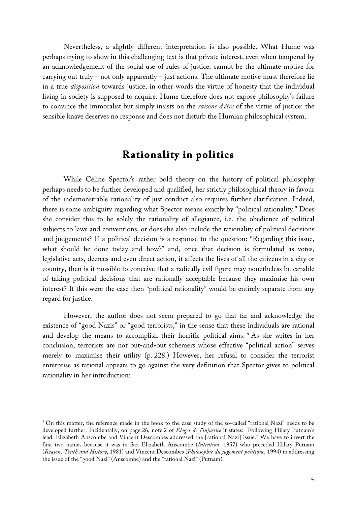Nevertheless, a slightly different interpretation is also possible. What Hume was perhaps trying to show in this challenging text is that private interest, even when tempered by an acknowledgement of the social use of rules of justice, cannot be the ultimate motive for carrying out truly – not only apparently – just actions. The ultimate motive must therefore lie in a true *disposition* towards justice, in other words the virtue of honesty that the individual living in society is supposed to acquire. Hume therefore does not expose philosophy's failure to convince the immoralist but simply insists on the *raisons d'être* of the virtue of justice: the sensible knave deserves no response and does not disturb the Humian philosophical system.

## **Rationality in politics**

While Céline Spector's rather bold theory on the history of political philosophy perhaps needs to be further developed and qualified, her strictly philosophical theory in favour of the indemonstrable rationality of just conduct also requires further clarification. Indeed, there is some ambiguity regarding what Spector means exactly by "political rationality." Does she consider this to be solely the rationality of allegiance, i.e. the obedience of political subjects to laws and conventions, or does she also include the rationality of political decisions and judgements? If a political decision is a response to the question: "Regarding this issue, what should be done today and how?" and, once that decision is formulated as votes, legislative acts, decrees and even direct action, it affects the lives of all the citizens in a city or country, then is it possible to conceive that a radically evil figure may nonetheless be capable of taking political decisions that are rationally acceptable because they maximise his own interest? If this were the case then "political rationality" would be entirely separate from any regard for justice.

However, the author does not seem prepared to go that far and acknowledge the existence of "good Nazis" or "good terrorists," in the sense that these individuals are rational and develop the means to accomplish their horrific political aims. <sup>9</sup> As she writes in her conclusion, terrorists are not out-and-out schemers whose effective "political action" serves merely to maximise their utility (p. 228.) However, her refusal to consider the terrorist enterprise as rational appears to go against the very definition that Spector gives to political rationality in her introduction:

 $\overline{a}$ 

<sup>&</sup>lt;sup>9</sup> On this matter, the reference made in the book to the case study of the so-called "rational Nazi" needs to be developed further. Incidentally, on page 26, note 2 of *Éloges de l'injustice* it states: "Following Hilary Putnam's lead, Elizabeth Anscombe and Vincent Descombes addressed the [rational Nazi] issue." We have to invert the first two names because it was in fact Elizabeth Anscombe (*Intention*, 1957) who preceded Hilary Putnam (*Reason, Truth and History*, 1981) and Vincent Descombes (*Philosophie du jugement politique*, 1994) in addressing the issue of the "good Nazi" (Anscombe) and the "rational Nazi" (Putnam).